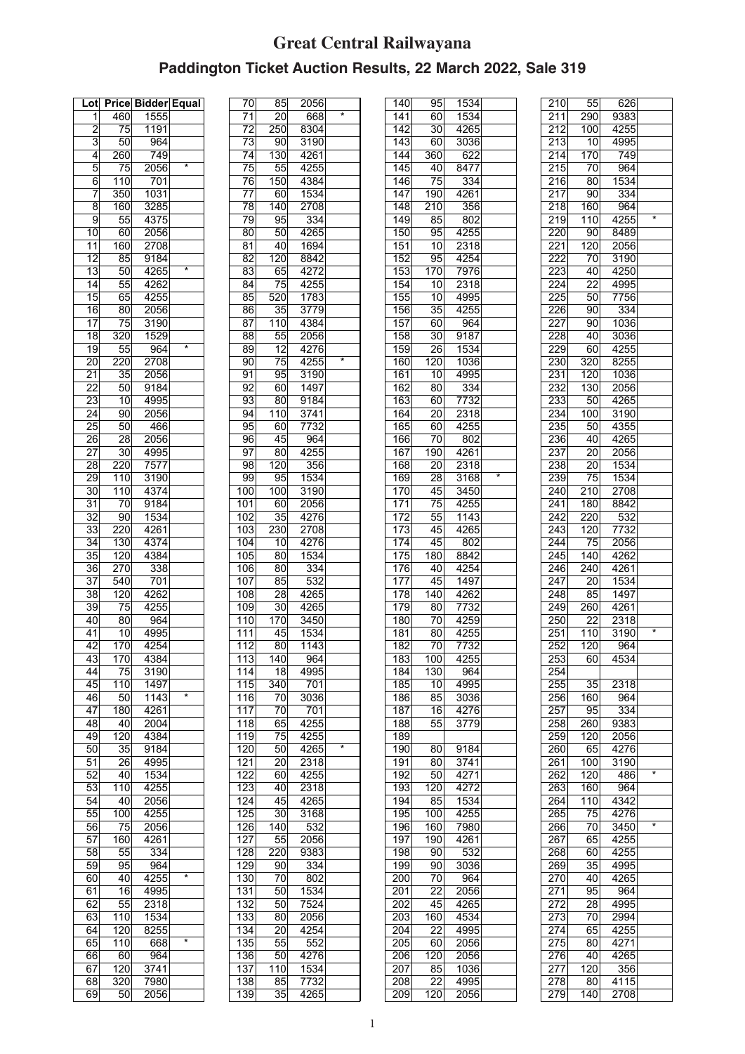## **Great Central Railwayana Paddington Ticket Auction Results, 22 March 2022, Sale 319**

| Lot             | Price            | <b>Bidder</b> |                         |
|-----------------|------------------|---------------|-------------------------|
|                 |                  |               | <b>Equal</b>            |
| 1               | 460              | 1555          |                         |
| $\overline{2}$  | 75               | 1191          |                         |
| 3               | 50               | 964           |                         |
| 4               | 260              | 749           |                         |
| 5               | 75               | 2056          | $\overline{\mathbf{x}}$ |
| 6               | $\overline{1}10$ | 701           |                         |
| 7               | 350              | 1031          |                         |
|                 |                  |               |                         |
| 8               | 160              | 3285          |                         |
| 9               | 55               | 4375          |                         |
| 10              | 60               | 2056          |                         |
| 11              | 160              | 2708          |                         |
| 12              | 85               | 9184          |                         |
| $\overline{13}$ | 50               | 4265          | *                       |
| $\overline{14}$ | 55               | 4262          |                         |
| $\overline{15}$ | 65               | 4255          |                         |
| 16              | 80               | 2056          |                         |
|                 |                  |               |                         |
| $\overline{17}$ | 75               | 3190          |                         |
| 18              | 320              | 1529          |                         |
| 19              | 55               | 964           | $\star$                 |
| $\overline{20}$ | 220              | 2708          |                         |
| 21              | $\overline{35}$  | 2056          |                         |
| 22              | 50               | 9184          |                         |
| 23              | 10               | 4995          |                         |
|                 |                  |               |                         |
| 24              | 90               | 2056          |                         |
| 25              | 50               | 466           |                         |
| 26              | 28               | 2056          |                         |
| 27              | 30               | 4995          |                         |
| $\overline{28}$ | 220              | 7577          |                         |
| 29              | 110              | 3190          |                         |
| 30              | 110              | 4374          |                         |
| $\overline{31}$ | 70               | 9184          |                         |
|                 |                  |               |                         |
| 32              | 90               | 1534          |                         |
| 33              | 220              | 4261          |                         |
| 34              | 130              | 4374          |                         |
| 35              | $\overline{120}$ | 4384          |                         |
| 36              | 270              | 338           |                         |
| 37              | 540              | 701           |                         |
| $\overline{38}$ | 120              | 4262          |                         |
| $\overline{39}$ | 75               | 4255          |                         |
| 40              | 80               | 964           |                         |
| 41              | 10               | 4995          |                         |
| 42              |                  | 4254          |                         |
|                 | 170              |               |                         |
| 43              | 170              | 4384          |                         |
| 44              | 75               | 3190          |                         |
| 45              | 110              | 1497          |                         |
| 46              | 50               | 1143          | *                       |
| 47              | 180              | 4261          |                         |
| 48              | 40               | 2004          |                         |
| 49              | 120              | 4384          |                         |
|                 |                  |               |                         |
| 50              | 35               | 9184          |                         |
| 51              | 26               | 4995          |                         |
| 52              | 40               | 1534          |                         |
| 53              | 110              | 4255          |                         |
| 54              | 40               | 2056          |                         |
| 55              | 100              | 4255          |                         |
| 56              | $7\overline{5}$  | 2056          |                         |
| 57              | 160              | 4261          |                         |
| 58              | 55               | 334           |                         |
| 59              | 95               | 964           |                         |
|                 |                  |               | $\star$                 |
| 60              | 40               | 4255          |                         |
| 61              | 16               | 4995          |                         |
| 62              | 55               | 2318          |                         |
| 63              | 110              | 1534          |                         |
| 64              | 120              | 8255          |                         |
| 65              | 110              | 668           |                         |
| 66              | 60               | 964           |                         |
| 67              | 120              | 3741          |                         |
| 68              | $\overline{32}0$ | 7980          |                         |
| 69              | 50               | 2056          |                         |
|                 |                  |               |                         |

| 70               | 85               | 2056              |         |
|------------------|------------------|-------------------|---------|
| $\overline{71}$  | 20               | 668               | $\star$ |
| 72               | 250              | 8304              |         |
| $\overline{73}$  | 90               | 3190              |         |
|                  |                  |                   |         |
| 74               | $\overline{130}$ | 4261              |         |
| $\overline{75}$  | 55               | 4255              |         |
| 76               | $\overline{150}$ | 4384              |         |
| 77               | 60               | 1534              |         |
| 78               | 140              | 2708              |         |
| 79               | 95               | 334               |         |
|                  | 50               | 4265              |         |
| 80               |                  |                   |         |
| 81               | 40               | 1694              |         |
| 82               | 120              | 8842              |         |
| 83               | 65               | 4272              |         |
| 84               | 75               | 4255              |         |
| 85               | 520              | 1783              |         |
| 86               | 35               | $\overline{37}79$ |         |
| 87               | 110              | 4384              |         |
|                  |                  |                   |         |
| 88               | 55               | 2056              |         |
| 89               | 12               | 4276              |         |
| 90               | 75               | 4255              | *       |
| 91               | 95               | 3190              |         |
| 92               | 60               | 1497              |         |
| 93               | 80               | 9184              |         |
| 94               | $\overline{1}10$ | 3741              |         |
|                  |                  |                   |         |
| 95               | 60               | 7732              |         |
| 96               | 45               | 964               |         |
| 97               | 80               | 4255              |         |
| 98               | 120              | 356               |         |
| 99               | 95               | 1534              |         |
| 100              | 100              | 3190              |         |
| 101              | 60               | 2056              |         |
|                  |                  |                   |         |
| 102              | 35               | 4276              |         |
| 103              | $\overline{23}0$ | 2708              |         |
| 104              | 10               | 4276              |         |
| 105              | 80               | 1534              |         |
| 106              | 80               | 334               |         |
| 107              | 85               | 532               |         |
| 108              | $\overline{28}$  | 4265              |         |
|                  |                  |                   |         |
| 109              | 30               | 4265              |         |
| 110              | 170              | 3450              |         |
| 111              | 45               | 1534              |         |
| 112              | 80l              | 1143              |         |
| 113              | 140              | 964               |         |
| 114              | 18               | 4995              |         |
| 115              | $\overline{340}$ | 701               |         |
|                  |                  |                   |         |
| 116              | 70               | 3036              |         |
| $\overline{117}$ | 70               | 701               |         |
| 118              | 65               | 4255              |         |
| 119              | 75               | 4255              |         |
| 120              | 50               | 4265              | $\star$ |
| 121              | 20               | 2318              |         |
| 122              | 60               | 4255              |         |
| 123              | 40               | 2318              |         |
| 124              | 45               | 4265              |         |
|                  |                  |                   |         |
| $\overline{125}$ | 30               | 3168              |         |
| 126              | 140              | 532               |         |
| 127              | 55               | 2056              |         |
| 128              | 220              | 9383              |         |
| 129              | 90               | 334               |         |
| 130              | 70               | 802               |         |
| 131              | 50               | 1534              |         |
|                  |                  |                   |         |
| 132              | 50               | 7524              |         |
| 133              | 80               | 2056              |         |
| 134              | 20               | 4254              |         |
| 135              | 55               | 552               |         |
| 136              | 50               | 4276              |         |
| 137              | 110              | 1534              |         |
| 138              | 85               | 7732              |         |
|                  |                  | 4265              |         |
| 139              | 35               |                   |         |

| 140              | 95               | 1534              |   |
|------------------|------------------|-------------------|---|
| $\overline{141}$ | 60               | 1534              |   |
| 142              | 30               | 4265              |   |
|                  |                  |                   |   |
| 143              | 60               | 3036              |   |
| 144              | 360              | 622               |   |
|                  |                  |                   |   |
| 145              | 40               | 8477              |   |
| 146              | 75               | 334               |   |
|                  |                  |                   |   |
| 147              | 190              | 4261              |   |
| 148              | $\overline{2}10$ | 356               |   |
|                  |                  |                   |   |
| 149              | 85               | 802               |   |
| 150              | 95               | 4255              |   |
|                  |                  |                   |   |
| 151              | 10               | 2318              |   |
| 152              | 95               | 4254              |   |
|                  |                  |                   |   |
| 153              | 170              | 7976              |   |
| 154              | 10               | 2318              |   |
|                  |                  |                   |   |
| $\overline{155}$ | 10               | 4995              |   |
| 156              | 35               | 4255              |   |
| 157              |                  |                   |   |
|                  | 60               | 964               |   |
| 158              | 30               | 9187              |   |
|                  | 26               |                   |   |
| 159              |                  | 1534              |   |
| 160              | 120              | 1036              |   |
| 161              |                  | 4995              |   |
|                  | 10               |                   |   |
| 162              | 80               | 334               |   |
| 163              | 60               | 7732              |   |
|                  |                  |                   |   |
| 164              | 20               | 2318              |   |
| 165              | 60               | 4255              |   |
|                  |                  |                   |   |
| $\overline{166}$ | 70               | 802               |   |
| 167              | 190              | 4261              |   |
|                  |                  |                   |   |
| 168              | $\overline{2}0$  | 2318              |   |
| 169              | 28               | $\overline{3168}$ | × |
|                  |                  |                   |   |
| 170              | 45               | $\overline{3}450$ |   |
| 171              | 75               | 4255              |   |
|                  |                  |                   |   |
| 172              | 55               | 1143              |   |
| 173              | 45               | 4265              |   |
|                  |                  |                   |   |
| 174              | 45               | 802               |   |
| 175              | 180              | 8842              |   |
|                  |                  |                   |   |
| 176              | 40               | 4254              |   |
| 177              | 45               | 1497              |   |
| 178              |                  |                   |   |
|                  | 140              | 4262              |   |
| 179              | 80               | 7732              |   |
|                  |                  |                   |   |
| 180              | 70               | 4259              |   |
| 181              | 80               | 4255              |   |
|                  |                  | 7732              |   |
| 182              | 70               |                   |   |
| $\overline{183}$ | 100              | 4255              |   |
| 184              | 130              |                   |   |
|                  |                  | 964               |   |
| 185              | 10               | 4995              |   |
| 186              | 85               | 3036              |   |
|                  |                  |                   |   |
| 187              | 16               | 4276              |   |
| 188              | 55               | 3779              |   |
|                  |                  |                   |   |
| 189              |                  |                   |   |
| 190              | 80               | 9184              |   |
|                  |                  |                   |   |
| 191              | 80               | 3741              |   |
| 192              | 50               | 4271              |   |
|                  |                  |                   |   |
| 193              | 120              | 4272              |   |
| 194              | 85               | 1534              |   |
| $\overline{1}95$ | 100              | 4255              |   |
|                  |                  |                   |   |
| 196              | 160              | 7980              |   |
| 197              | 190              | 4261              |   |
|                  |                  |                   |   |
| 198              | 90               | 532               |   |
| 199              | 90               | 3036              |   |
|                  |                  |                   |   |
| 200              | 70               | 964               |   |
| 201              | $\overline{22}$  | 2056              |   |
|                  |                  |                   |   |
| 202              | 45               | 4265              |   |
| 203              | 160              | 4534              |   |
|                  | $\overline{22}$  |                   |   |
| 204              |                  | 4995              |   |
| 205              | 60               | 2056              |   |
| 206              | 120              | 2056              |   |
|                  |                  |                   |   |
| 207              | 85               | 1036              |   |
| 208              | 22               | 4995              |   |
| 209              |                  |                   |   |
|                  | 120              | 2056              |   |

| $\overline{2}10$  | $\overline{5}5$  | 626               |   |
|-------------------|------------------|-------------------|---|
| 211               | 290              | 9383              |   |
| 212               | 100              | 4255              |   |
| 213               | 10               | 4995              |   |
|                   |                  |                   |   |
| $\overline{2}$ 14 | 170              | 749               |   |
| 215               | 70               | 964               |   |
| 216               | $\overline{80}$  | 1534              |   |
| 217               |                  |                   |   |
|                   | 90               | 334               |   |
| 218               | 160              | 964               |   |
| 219               | 110              | 4255              | * |
| 220               | 90               | 8489              |   |
|                   |                  |                   |   |
| 221               | 120              | 2056              |   |
| 222               | 70               | 3190              |   |
| 223               | 40               | 4250              |   |
|                   |                  |                   |   |
| 224               | 22               | 4995              |   |
| 225               | 50               | 7756              |   |
| 226               | 90               | 334               |   |
| 227               | 90               | 1036              |   |
|                   |                  |                   |   |
| 228               | 40               | 3036              |   |
| 229               | 60               | 4255              |   |
| 230               | 320              | 8255              |   |
|                   |                  |                   |   |
| $\overline{231}$  | 120              | 1036              |   |
| 232               | 130              | 2056              |   |
| 233               | 50               | 4265              |   |
|                   |                  |                   |   |
| 234               | 100              | 3190              |   |
| 235               | 50               | 4355              |   |
| 236               | 40               | 4265              |   |
| 237               | 20               | 2056              |   |
|                   |                  |                   |   |
| 238               | $\overline{20}$  | 1534              |   |
| 239               | 75               | 1534              |   |
| 240               | 210              | 2708              |   |
|                   |                  |                   |   |
| 241               | 180              | 8842              |   |
| 242               | 220              | 532               |   |
| 243               | 120              | 7732              |   |
| 244               | 75               | 2056              |   |
|                   |                  |                   |   |
| 245               | 140              | 4262              |   |
| $\overline{246}$  | 240              | 4261              |   |
| 247               | 20               | 1534              |   |
| 248               | 85               | 1497              |   |
|                   |                  |                   |   |
| 249               | 260              | 4261              |   |
| 250               | 22               | 2318              |   |
| 251               | 110              | 3190              | * |
|                   |                  |                   |   |
| 252               | 120              | 964               |   |
| $\overline{253}$  | 60               | 4534              |   |
| 254               |                  |                   |   |
|                   |                  |                   |   |
| 255               | 35               | 2318              |   |
| 256               | 160              | 964               |   |
| 257               | 95               | $\overline{3}34$  |   |
| 258               | 260              | 9383              |   |
|                   |                  |                   |   |
| 259               | $\overline{1}20$ | 2056              |   |
| 260               | 65               | 4276              |   |
| 261               | 100              | 3190              |   |
| 262               | 120              | 486               | * |
|                   |                  |                   |   |
| 263               | 160              | 964               |   |
| 264               | 110              | 4342              |   |
| 265               | 75               | $42\overline{76}$ |   |
|                   |                  |                   | * |
| 266               | 70               | 3450              |   |
| 267               | 65               | 4255              |   |
| 268               | 60               | 4255              |   |
| 269               | 35               | 4995              |   |
|                   |                  |                   |   |
| 270               | 40               | 4265              |   |
| $\overline{271}$  | 95               | 964               |   |
| 272               | 28               | 4995              |   |
| $27\overline{3}$  | 70               | 2994              |   |
|                   |                  |                   |   |
| 274               | 65               | 4255              |   |
| 275               | 80               | 4271              |   |
| 276               | 40               | 4265              |   |
|                   | 120              | 356               |   |
| 277               |                  |                   |   |
| 278               | 80               | 4115              |   |
| 279               | 140              | 2708              |   |
|                   |                  |                   |   |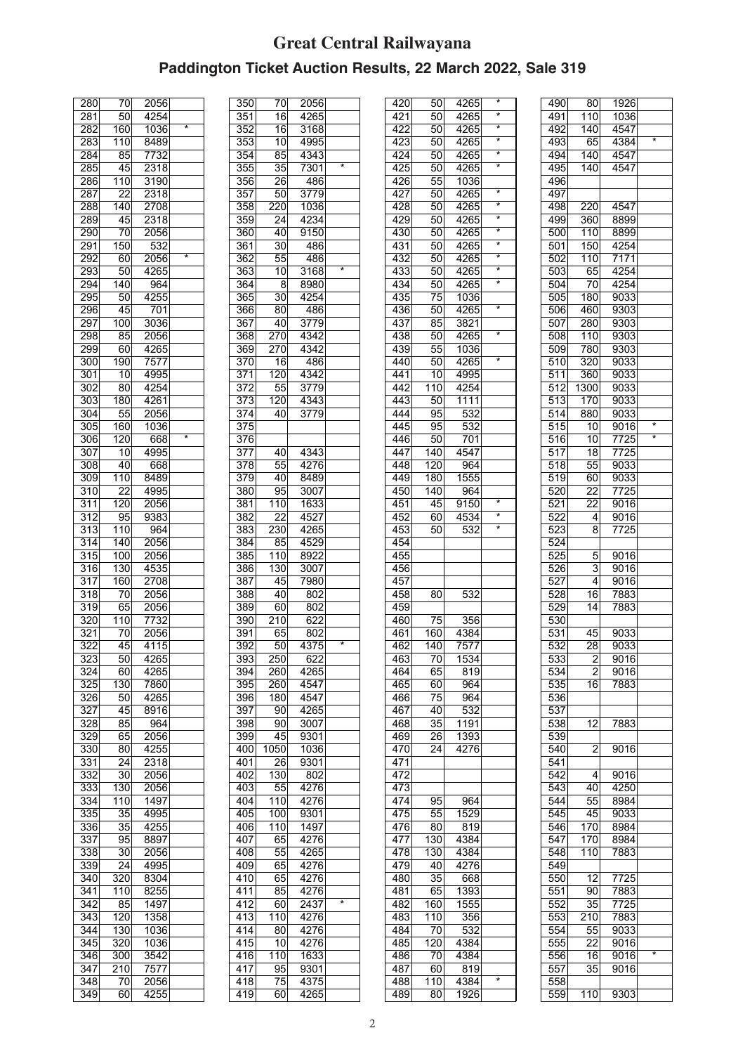## **Great Central Railwayana Paddington Ticket Auction Results, 22 March 2022, Sale 319**

| 280              | 70              | 2056               |         |
|------------------|-----------------|--------------------|---------|
| 281              | 50              | 4254               |         |
| 282              | 160             | 1036               | $\star$ |
|                  |                 |                    |         |
| 283              | 110             | 8489               |         |
| 284              | 85              | 7732               |         |
| 285              | 45              | 2318               |         |
| 286              | 110             | 3190               |         |
| 287              | $\overline{22}$ | 2318               |         |
|                  |                 |                    |         |
| 288              | 140             | 2708               |         |
| 289              | 45              | 2318               |         |
| 290              | 70              | 2056               |         |
| 291              | 150             | 532                |         |
| 292              | 60              | 2056               | $\star$ |
|                  |                 |                    |         |
| 293              | 50              | 4265               |         |
| 294              | 140             | 964                |         |
| 295              | 50              | 4255               |         |
| 296              | 45              | 701                |         |
| 297              | 100             | 3036               |         |
| 298              | 85              | 2056               |         |
|                  |                 |                    |         |
| 299              | 60              | 4265               |         |
| 300              | 190             | $\overline{75}$ 77 |         |
| 301              | 10              | 4995               |         |
| $\overline{302}$ | 80              | 4254               |         |
|                  | 180             |                    |         |
| $30\overline{3}$ |                 | 4261               |         |
| 304              | 55              | 2056               |         |
| 305              | 160             | 1036               |         |
| 306              | 120             | 668                | $\star$ |
| 307              | 10              | 4995               |         |
| 308              | 40              | 668                |         |
|                  |                 |                    |         |
| 309              | 110             | 8489               |         |
| 310              | 22              | 4995               |         |
| 311              | 120             | 2056               |         |
| 312              | 95              | 9383               |         |
| 313              | 110             | 964                |         |
|                  |                 |                    |         |
| 314              | 140             | 2056               |         |
| 315              | 100             | 2056               |         |
| $\overline{316}$ | 130             | 4535               |         |
| 317              | 160             | 2708               |         |
| 318              | 70              | 2056               |         |
|                  |                 |                    |         |
| 319              | 65              | $\overline{2056}$  |         |
| 320              | 110             | 7732               |         |
| 321              | 70              | 2056               |         |
| 322              | 45              | 4115               |         |
| 323              | 50              | 4265               |         |
|                  |                 |                    |         |
| 324              | 60              | 4265               |         |
| 325              | 130             | 7860               |         |
| 326              | 50              | 4265               |         |
| 327              | 45              | 8916               |         |
| 328              | 85              | 964                |         |
|                  |                 |                    |         |
| 329              | 65              | 2056               |         |
| 330              | 80              | 4255               |         |
| 331              | 24              | 2318               |         |
| 332              | 30              | 2056               |         |
| 333              | 130             | 2056               |         |
|                  |                 |                    |         |
| 334              | 110             | 1497               |         |
| 335              | 35              | 4995               |         |
| 336              | $3\overline{5}$ | 4255               |         |
| 337              | 95              | 8897               |         |
| 338              | 30              | 2056               |         |
|                  |                 |                    |         |
| 339              | 24              | 4995               |         |
| 340              | 320             | 8304               |         |
| 341              | 110             | 8255               |         |
| 342              | 85              | 1497               |         |
| 343              | 120             | 1358               |         |
|                  |                 |                    |         |
| 344              | 130             | 1036               |         |
| 345              | 320             | 1036               |         |
| 346              | 300             | 3542               |         |
| 347              | 210             | 7577               |         |
| 348              | 70              | 2056               |         |
|                  |                 | 4255               |         |
| 349              | 60              |                    |         |

| 350              | 70               | 2056              |         |
|------------------|------------------|-------------------|---------|
| 351              | $\overline{16}$  | 4265              |         |
| 352              | 16               | 3168              |         |
|                  |                  |                   |         |
| 353              | 10               | 4995              |         |
| 354              | 85               | 4343              |         |
| 355              | $\overline{35}$  | 7301              | ∓       |
|                  |                  |                   |         |
| 356              | 26               | 486               |         |
| 357              | 50               | 3779              |         |
| $\overline{358}$ | $\overline{220}$ | 1036              |         |
| 359              | 24               | 4234              |         |
|                  |                  |                   |         |
| 360              | 40               | 9150              |         |
| 361              | 30               | 486               |         |
| 362              | 55               | 486               |         |
|                  |                  |                   | $\star$ |
| $36\overline{3}$ | 10               | 3168              |         |
| 364              | 8                | 8980              |         |
| 365              | 30               | 4254              |         |
|                  |                  |                   |         |
| 366              | 80               | 486               |         |
| 367              | 40               | 3779              |         |
| 368              | 270              | 4342              |         |
|                  |                  |                   |         |
| 369              | 270              | 4342              |         |
| 370              | 16               | 486               |         |
| 371              | 120              | 4342              |         |
|                  |                  |                   |         |
| $\overline{372}$ | 55               | 3779              |         |
| $\overline{373}$ | 120              | 4343              |         |
| 374              | 40               | 3779              |         |
|                  |                  |                   |         |
| 375              |                  |                   |         |
| 376              |                  |                   |         |
|                  |                  |                   |         |
| 377              | 40               | 4343              |         |
| 378              | 55               | 4276              |         |
| 379              | 40               | 8489              |         |
|                  |                  |                   |         |
| 380              | 95               | 3007              |         |
| 381              | 110              | 1633              |         |
| 382              | 22               | 4527              |         |
|                  |                  |                   |         |
| 383              | $\overline{230}$ | 4265              |         |
| 384              | 85               | 4529              |         |
| 385              |                  |                   |         |
|                  | 110              | 8922              |         |
| 386              | 130              | $\overline{3007}$ |         |
| 387              | 45               | 7980              |         |
|                  |                  |                   |         |
| 388              | 40               | 802               |         |
| 389              | $\overline{6}0$  | 802               |         |
| 390              | 210              | 622               |         |
|                  |                  |                   |         |
| 391              | 65               | 802               |         |
| 392              | 50               | 4375              | *       |
| 393              | 250              | 622               |         |
|                  |                  |                   |         |
| 394              | 260              | 4265              |         |
| 395              | 260              | 4547              |         |
| 396              | 180              | 4547              |         |
|                  |                  |                   |         |
| 397              | 90               | 4265              |         |
| $\overline{398}$ | 90 <sub>0</sub>  | 3007              |         |
| 399              | 45               | 9301              |         |
|                  |                  |                   |         |
| 400              | 1050             | 1036              |         |
| 401              | 26               | $\overline{9}301$ |         |
| 402              | 130              | 802               |         |
|                  |                  |                   |         |
| 403              | 55               | 4276              |         |
| 404              | 110              | 4276              |         |
| 405              | 100              | 9301              |         |
|                  |                  |                   |         |
| 406              | 110              | 1497              |         |
| 407              | 65               | 4276              |         |
| 408              | 55               | 4265              |         |
|                  |                  |                   |         |
| 409              | 65               | 4276              |         |
| 410              | 65               | 4276              |         |
| 411              | 85               | 4276              |         |
|                  |                  |                   | $\star$ |
| 412              | 60               | 2437              |         |
| 413              | 110              | 4276              |         |
| 414              | 80               | 4276              |         |
|                  |                  |                   |         |
| 415              | 10               | 4276              |         |
| 416              | 110              | 1633              |         |
|                  |                  |                   |         |
| 417              | 95               | 9301              |         |
| 418              | 75               | 4375              |         |
| 419              | 60               | 4265              |         |
|                  |                  |                   |         |

| 420              | 50              | 4265             | *                 |
|------------------|-----------------|------------------|-------------------|
| 421              | 50              | 4265             | *                 |
| 422              | 50              | 4265             | ×                 |
| 423              | 50              | 4265             | ¥                 |
|                  |                 |                  | $\star$           |
| $\overline{42}4$ | 50              | 4265             | $\overline{\ast}$ |
| 425              | 50              | 4265             |                   |
| 426              | 55              | 1036             |                   |
| 427              | 50              | 4265             | *                 |
| 428              | 50              | 4265             | ×                 |
| 429              | 50              | 4265             | *                 |
|                  |                 |                  | ×                 |
| 430              | 50              | 4265             |                   |
| 431              | 50              | 4265             | $\star$           |
| 432              | 50              | 4265             | $\star$           |
| 433              | 50              | 4265             | $\overline{\ast}$ |
| 434              | 50              | 4265             | *                 |
| $\overline{435}$ | 75              | 1036             |                   |
| 436              | 50              | 4265             | $\star$           |
|                  |                 |                  |                   |
| 437              | 85              | 3821             |                   |
| 438              | 50              | 4265             | ×                 |
| 439              | 55              | 1036             |                   |
| 440              | 50              | 4265             | *                 |
| 441              | 10              | 4995             |                   |
|                  |                 |                  |                   |
| 442              | 110             | 4254             |                   |
| 443              | 50              | 1111             |                   |
| 444              | 95              | 532              |                   |
| 445              | 95              | 532              |                   |
| 446              | 50              | 701              |                   |
| 447              | 140             | 4547             |                   |
|                  |                 |                  |                   |
| 448              | 120             | 964              |                   |
| 449              | 180             | 1555             |                   |
| 450              | 140             | 964              |                   |
| 451              | 45              | 9150             | *                 |
| 452              | 60              | 4534             | *                 |
| 453              | 50              | 532              | *                 |
| 454              |                 |                  |                   |
|                  |                 |                  |                   |
| 455              |                 |                  |                   |
| 456              |                 |                  |                   |
| 457              |                 |                  |                   |
| 458              | 80              | $\overline{532}$ |                   |
| 459              |                 |                  |                   |
| 460              | 75              | 356              |                   |
|                  |                 | 4384             |                   |
| 461              | 160             |                  |                   |
| 462              | 140             | 7577             |                   |
| 463              | $\overline{70}$ | 1534             |                   |
| 464              | 65              | 819              |                   |
| 465              | 60              | 964              |                   |
| 466              | 75              | 964              |                   |
|                  |                 |                  |                   |
| 467              | 40              | 532              |                   |
| 468              | $\overline{35}$ | 1191             |                   |
| 469              | 26              | 1393             |                   |
| 470              | 24              | 4276             |                   |
| 471              |                 |                  |                   |
| 472              |                 |                  |                   |
| 473              |                 |                  |                   |
|                  |                 |                  |                   |
| 474              | 95              | 964              |                   |
| 475              | 55              | 1529             |                   |
| 476              | 80              | 819              |                   |
| 477              | 130             | 4384             |                   |
| 478              | 130             | 4384             |                   |
| 479              | 40              | 4276             |                   |
|                  |                 |                  |                   |
| 480              | 35              | 668              |                   |
| 481              | 65              | 1393             |                   |
| 482              | 160             | 1555             |                   |
| 483              |                 | 356              |                   |
|                  | 110             |                  |                   |
| 484              |                 | 532              |                   |
|                  | 70              |                  |                   |
| 485              | 120             | 4384             |                   |
| 486              | 70              | 4384             |                   |
| 487              | 60              | 819              |                   |
| 488<br>489       | 110<br>80       | 4384<br>1926     | *                 |

| 490        | 80               | 1926 |                   |
|------------|------------------|------|-------------------|
| 491        | 110              | 1036 |                   |
| 492        | 140              | 4547 |                   |
| 493        | 65               | 4384 | $\star$           |
| 494        | 140              | 4547 |                   |
|            |                  |      |                   |
| 495        | 140              | 4547 |                   |
| 496        |                  |      |                   |
| 497        |                  |      |                   |
| 498        | 220              | 4547 |                   |
|            |                  |      |                   |
| 499        | 360              | 8899 |                   |
| 500        | 110              | 8899 |                   |
| 501        | 150              | 4254 |                   |
| 502        | $\overline{1}10$ | 7171 |                   |
| 503        | 65               | 4254 |                   |
|            |                  |      |                   |
| 504        | 70               | 4254 |                   |
| 505        | 180              | 9033 |                   |
| 506        | 460              | 9303 |                   |
| 507        | 280              | 9303 |                   |
|            |                  |      |                   |
| 508        | 110              | 9303 |                   |
| 509        | 780              | 9303 |                   |
| 510        | $\overline{320}$ | 9033 |                   |
| 511        | 360              | 9033 |                   |
|            |                  |      |                   |
| 512        | 1300             | 9033 |                   |
| 513        | 170              | 9033 |                   |
| 514        | 880              | 9033 |                   |
| 515        | 10               | 9016 | *                 |
|            | 10               | 7725 | $\overline{\ast}$ |
| 516        |                  |      |                   |
| 517        | 18               | 7725 |                   |
| 518        | 55               | 9033 |                   |
| 519        | 60               | 9033 |                   |
| 520        | 22               | 7725 |                   |
|            |                  |      |                   |
| 521        | 22               | 9016 |                   |
| 522        | 4                | 9016 |                   |
| 523        | 8                | 7725 |                   |
| 524        |                  |      |                   |
|            |                  |      |                   |
| 525        | 5                | 9016 |                   |
| 526        | 3                | 9016 |                   |
| 527        | $\overline{4}$   | 9016 |                   |
| 528        | 16               | 7883 |                   |
|            |                  |      |                   |
| 529        | 14               | 7883 |                   |
| 530        |                  |      |                   |
| 531        | 45               | 9033 |                   |
| 532        | 28               | 9033 |                   |
|            |                  |      |                   |
| 533        | $\overline{2}$   | 9016 |                   |
| 534        | $\overline{2}$   | 9016 |                   |
| 535        | 16               | 7883 |                   |
| 536        |                  |      |                   |
| 537        |                  |      |                   |
|            |                  |      |                   |
| 538        | 12               | 7883 |                   |
| 539        |                  |      |                   |
| 540        | 2                | 9016 |                   |
| 541        |                  |      |                   |
|            |                  |      |                   |
| 542        | 4                | 9016 |                   |
| 543        | 40               | 4250 |                   |
| 544        | 55               | 8984 |                   |
| 545        | 45               | 9033 |                   |
|            |                  |      |                   |
| 546        |                  |      |                   |
|            | 170              | 8984 |                   |
| 547        | 170              | 8984 |                   |
| 548        | 110              | 7883 |                   |
|            |                  |      |                   |
| 549        |                  |      |                   |
| 550        | 12               | 7725 |                   |
| 551        | 90               | 7883 |                   |
| 552        | $\overline{35}$  | 7725 |                   |
|            |                  |      |                   |
| 553        | 210              | 7883 |                   |
| 554        | 55               | 9033 |                   |
| 555        | 22               | 9016 |                   |
| 556        | 16               | 9016 | ×                 |
|            |                  |      |                   |
| 557        | 35               | 9016 |                   |
| 558<br>559 | 110              | 9303 |                   |